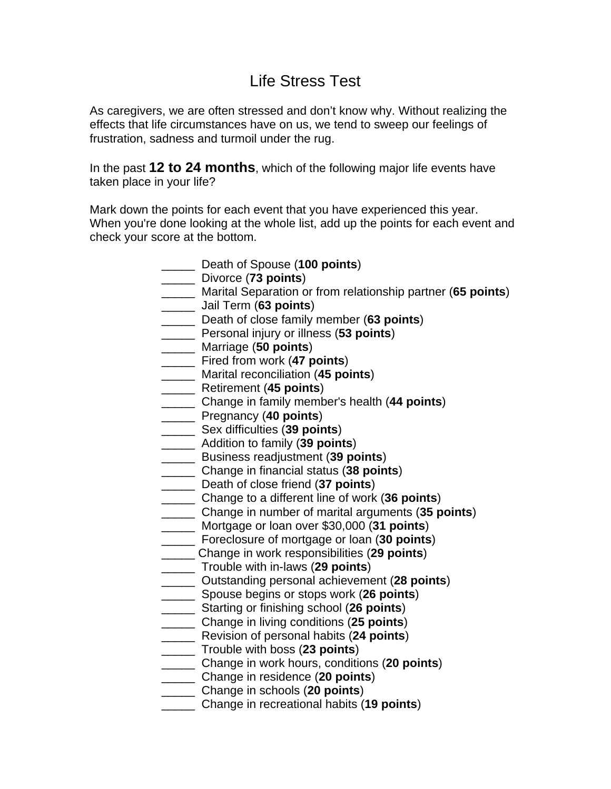## Life Stress Test

As caregivers, we are often stressed and don't know why. Without realizing the effects that life circumstances have on us, we tend to sweep our feelings of frustration, sadness and turmoil under the rug.

In the past **12 to 24 months**, which of the following major life events have taken place in your life?

Mark down the points for each event that you have experienced this year. When you're done looking at the whole list, add up the points for each event and check your score at the bottom.

> \_\_\_\_\_ Death of Spouse (**100 points**) \_\_\_\_\_ Divorce (**73 points**) \_\_\_\_\_ Marital Separation or from relationship partner (**65 points**) \_\_\_\_\_ Jail Term (**63 points**) \_\_\_\_\_ Death of close family member (**63 points**) \_\_\_\_\_ Personal injury or illness (**53 points**) \_\_\_\_\_ Marriage (**50 points**) \_\_\_\_\_ Fired from work (**47 points**) \_\_\_\_\_ Marital reconciliation (**45 points**) \_\_\_\_\_ Retirement (**45 points**) \_\_\_\_\_ Change in family member's health (**44 points**) \_\_\_\_\_ Pregnancy (**40 points**) \_\_\_\_\_ Sex difficulties (**39 points**) \_\_\_\_\_ Addition to family (**39 points**) \_\_\_\_\_ Business readjustment (**39 points**) \_\_\_\_\_ Change in financial status (**38 points**) \_\_\_\_\_ Death of close friend (**37 points**) \_\_\_\_\_ Change to a different line of work (**36 points**) \_\_\_\_\_ Change in number of marital arguments (**35 points**) \_\_\_\_\_ Mortgage or loan over \$30,000 (**31 points**) \_\_\_\_\_ Foreclosure of mortgage or loan (**30 points**) \_\_\_\_\_ Change in work responsibilities (**29 points**) \_\_\_\_\_ Trouble with in-laws (**29 points**) \_\_\_\_\_ Outstanding personal achievement (**28 points**) \_\_\_\_\_ Spouse begins or stops work (**26 points**) \_\_\_\_\_ Starting or finishing school (**26 points**) \_\_\_\_\_ Change in living conditions (**25 points**) \_\_\_\_\_ Revision of personal habits (**24 points**) \_\_\_\_\_ Trouble with boss (**23 points**) \_\_\_\_\_ Change in work hours, conditions (**20 points**) \_\_\_\_\_ Change in residence (**20 points**) \_\_\_\_\_ Change in schools (**20 points**) \_\_\_\_\_ Change in recreational habits (**19 points**)